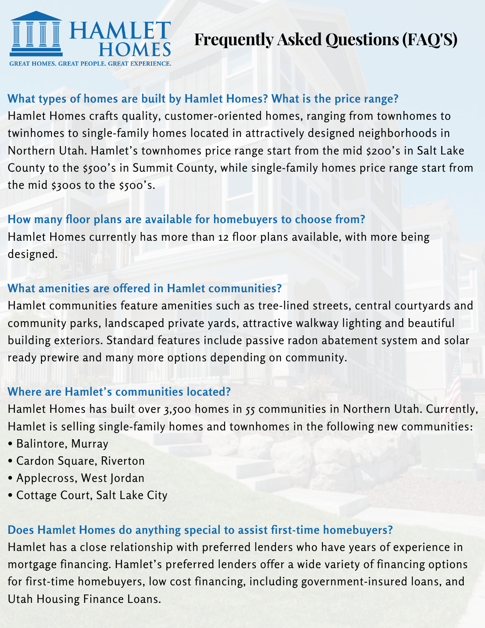

# **Frequently Asked Questions (FAQ'S)**

### **What types of homes are built by Hamlet Homes? What is the price range?**

Hamlet Homes crafts quality, customer-oriented homes, ranging from townhomes to twinhomes to single-family homes located in attractively designed neighborhoods in Northern Utah. Hamlet's townhomes price range start from the mid \$200's in Salt Lake County to the \$500's in Summit County, while single-family homes price range start from the mid \$300s to the \$500's.

#### **How many floor plans are available for homebuyers to choose from?**

Hamlet Homes currently has more than 12 floor plans available, with more being designed.

#### **What amenities are offered in Hamlet communities?**

Hamlet communities feature amenities such as tree-lined streets, central courtyards and community parks, landscaped private yards, attractive walkway lighting and beautiful building exteriors. Standard features include passive radon abatement system and solar ready prewire and many more options depending on community.

#### **Where are Hamlet's communities located?**

Hamlet Homes has built over 3,500 homes in 55 communities in Northern Utah. Currently, Hamlet is selling single-family homes and townhomes in the following new communities:

- Balintore, Murray
- Cardon Square, Riverton
- Applecross, West Jordan
- Cottage Court, Salt Lake City

## **Does Hamlet Homes do anything special to assist first-time homebuyers?**

Hamlet has a close relationship with preferred lenders who have years of experience in mortgage financing. Hamlet's preferred lenders offer a wide variety of financing options for first-time homebuyers, low cost financing, including government-insured loans, and Utah Housing Finance Loans.